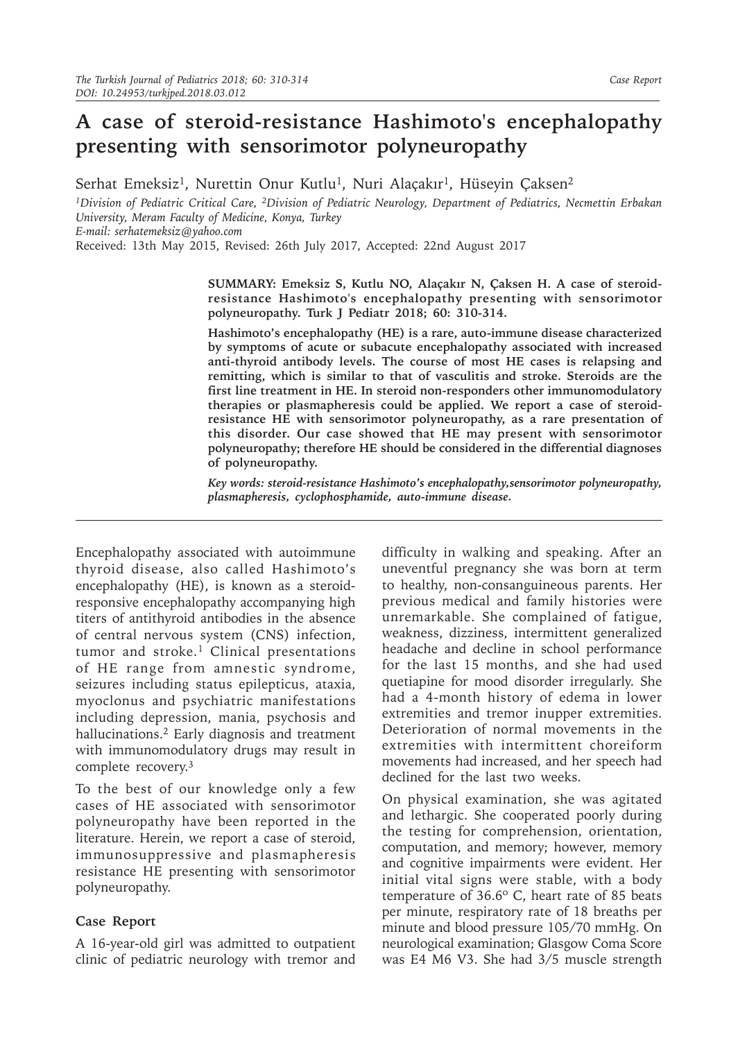## **A case of steroid-resistance Hashimoto's encephalopathy presenting with sensorimotor polyneuropathy**

Serhat Emeksiz<sup>1</sup>, Nurettin Onur Kutlu<sup>1</sup>, Nuri Alaçakır<sup>1</sup>, Hüseyin Çaksen<sup>2</sup>

*1Division of Pediatric Critical Care, 2Division of Pediatric Neurology, Department of Pediatrics, Necmettin Erbakan University, Meram Faculty of Medicine, Konya, Turkey*

*E-mail: serhatemeksiz@yahoo.com*

Received: 13th May 2015, Revised: 26th July 2017, Accepted: 22nd August 2017

**SUMMARY: Emeksiz S, Kutlu NO, Alaçakır N, Çaksen H. A case of steroidresistance Hashimoto's encephalopathy presenting with sensorimotor polyneuropathy. Turk J Pediatr 2018; 60: 310-314.**

**Hashimoto's encephalopathy (HE) is a rare, auto-immune disease characterized by symptoms of acute or subacute encephalopathy associated with increased anti-thyroid antibody levels. The course of most HE cases is relapsing and remitting, which is similar to that of vasculitis and stroke. Steroids are the first line treatment in HE. In steroid non-responders other immunomodulatory therapies or plasmapheresis could be applied. We report a case of steroidresistance HE with sensorimotor polyneuropathy, as a rare presentation of this disorder. Our case showed that HE may present with sensorimotor polyneuropathy; therefore HE should be considered in the differential diagnoses of polyneuropathy.** 

*Key words: steroid-resistance Hashimoto's encephalopathy,sensorimotor polyneuropathy, plasmapheresis, cyclophosphamide, auto-immune disease.*

Encephalopathy associated with autoimmune thyroid disease, also called Hashimoto's encephalopathy (HE), is known as a steroidresponsive encephalopathy accompanying high titers of antithyroid antibodies in the absence of central nervous system (CNS) infection, tumor and stroke.<sup>1</sup> Clinical presentations of HE range from amnestic syndrome, seizures including status epilepticus, ataxia, myoclonus and psychiatric manifestations including depression, mania, psychosis and hallucinations.<sup>2</sup> Early diagnosis and treatment with immunomodulatory drugs may result in complete recovery.<sup>3</sup>

To the best of our knowledge only a few cases of HE associated with sensorimotor polyneuropathy have been reported in the literature. Herein, we report a case of steroid, immunosuppressive and plasmapheresis resistance HE presenting with sensorimotor polyneuropathy.

## **Case Report**

A 16-year-old girl was admitted to outpatient clinic of pediatric neurology with tremor and

difficulty in walking and speaking. After an uneventful pregnancy she was born at term to healthy, non-consanguineous parents. Her previous medical and family histories were unremarkable. She complained of fatigue, weakness, dizziness, intermittent generalized headache and decline in school performance for the last 15 months, and she had used quetiapine for mood disorder irregularly. She had a 4-month history of edema in lower extremities and tremor inupper extremities. Deterioration of normal movements in the extremities with intermittent choreiform movements had increased, and her speech had declined for the last two weeks.

On physical examination, she was agitated and lethargic. She cooperated poorly during the testing for comprehension, orientation, computation, and memory; however, memory and cognitive impairments were evident. Her initial vital signs were stable, with a body temperature of 36.6º C, heart rate of 85 beats per minute, respiratory rate of 18 breaths per minute and blood pressure 105/70 mmHg. On neurological examination; Glasgow Coma Score was E4 M6 V3. She had 3/5 muscle strength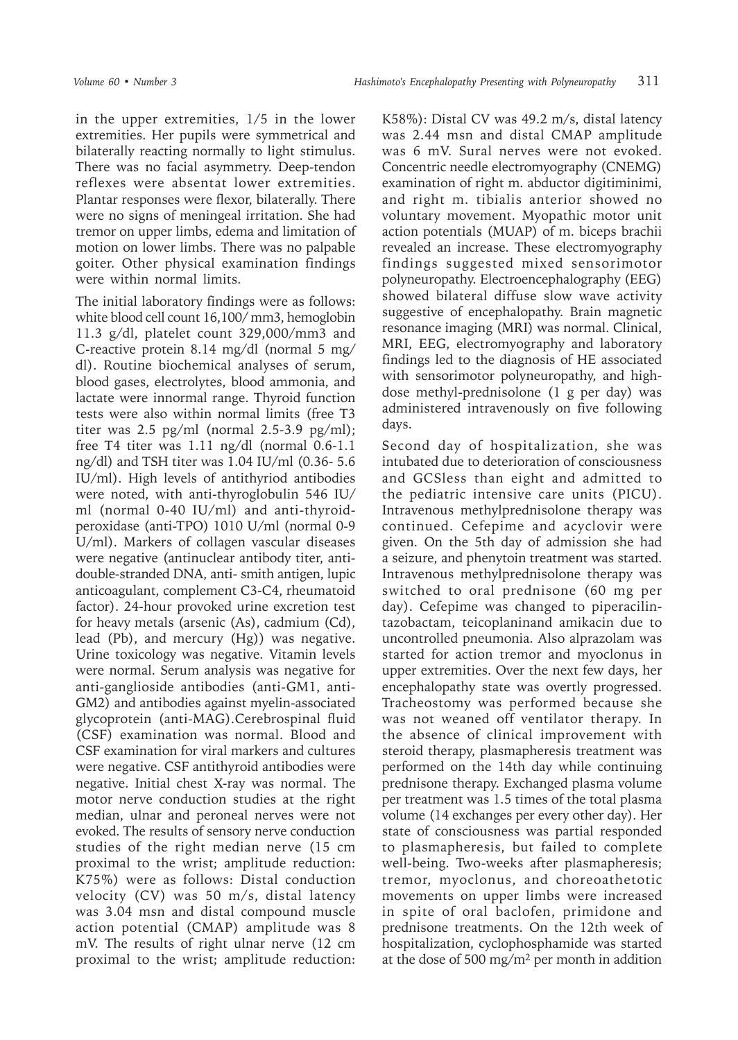in the upper extremities, 1/5 in the lower extremities. Her pupils were symmetrical and bilaterally reacting normally to light stimulus. There was no facial asymmetry. Deep-tendon reflexes were absentat lower extremities. Plantar responses were flexor, bilaterally. There were no signs of meningeal irritation. She had tremor on upper limbs, edema and limitation of motion on lower limbs. There was no palpable goiter. Other physical examination findings were within normal limits.

The initial laboratory findings were as follows: white blood cell count 16,100/ mm3, hemoglobin 11.3 g/dl, platelet count 329,000/mm3 and C-reactive protein 8.14 mg/dl (normal 5 mg/ dl). Routine biochemical analyses of serum, blood gases, electrolytes, blood ammonia, and lactate were innormal range. Thyroid function tests were also within normal limits (free T3 titer was  $2.5$  pg/ml (normal  $2.5-3.9$  pg/ml); free T4 titer was 1.11 ng/dl (normal 0.6-1.1 ng/dl) and TSH titer was 1.04 IU/ml (0.36- 5.6 IU/ml). High levels of antithyriod antibodies were noted, with anti-thyroglobulin 546 IU/ ml (normal 0-40 IU/ml) and anti-thyroidperoxidase (anti-TPO) 1010 U/ml (normal 0-9 U/ml). Markers of collagen vascular diseases were negative (antinuclear antibody titer, antidouble-stranded DNA, anti- smith antigen, lupic anticoagulant, complement C3-C4, rheumatoid factor). 24-hour provoked urine excretion test for heavy metals (arsenic (As), cadmium (Cd), lead (Pb), and mercury (Hg)) was negative. Urine toxicology was negative. Vitamin levels were normal. Serum analysis was negative for anti-ganglioside antibodies (anti-GM1, anti-GM2) and antibodies against myelin-associated glycoprotein (anti-MAG).Cerebrospinal fluid (CSF) examination was normal. Blood and CSF examination for viral markers and cultures were negative. CSF antithyroid antibodies were negative. Initial chest X-ray was normal. The motor nerve conduction studies at the right median, ulnar and peroneal nerves were not evoked. The results of sensory nerve conduction studies of the right median nerve (15 cm proximal to the wrist; amplitude reduction: K75%) were as follows: Distal conduction velocity (CV) was 50 m/s, distal latency was 3.04 msn and distal compound muscle action potential (CMAP) amplitude was 8 mV. The results of right ulnar nerve (12 cm proximal to the wrist; amplitude reduction:

K58%): Distal CV was 49.2 m/s, distal latency was 2.44 msn and distal CMAP amplitude was 6 mV. Sural nerves were not evoked. Concentric needle electromyography (CNEMG) examination of right m. abductor digitiminimi, and right m. tibialis anterior showed no voluntary movement. Myopathic motor unit action potentials (MUAP) of m. biceps brachii revealed an increase. These electromyography findings suggested mixed sensorimotor polyneuropathy. Electroencephalography (EEG) showed bilateral diffuse slow wave activity suggestive of encephalopathy. Brain magnetic resonance imaging (MRI) was normal. Clinical, MRI, EEG, electromyography and laboratory findings led to the diagnosis of HE associated with sensorimotor polyneuropathy, and highdose methyl-prednisolone (1 g per day) was administered intravenously on five following days.

Second day of hospitalization, she was intubated due to deterioration of consciousness and GCSless than eight and admitted to the pediatric intensive care units (PICU). Intravenous methylprednisolone therapy was continued. Cefepime and acyclovir were given. On the 5th day of admission she had a seizure, and phenytoin treatment was started. Intravenous methylprednisolone therapy was switched to oral prednisone (60 mg per day). Cefepime was changed to piperacilintazobactam, teicoplaninand amikacin due to uncontrolled pneumonia. Also alprazolam was started for action tremor and myoclonus in upper extremities. Over the next few days, her encephalopathy state was overtly progressed. Tracheostomy was performed because she was not weaned off ventilator therapy. In the absence of clinical improvement with steroid therapy, plasmapheresis treatment was performed on the 14th day while continuing prednisone therapy. Exchanged plasma volume per treatment was 1.5 times of the total plasma volume (14 exchanges per every other day). Her state of consciousness was partial responded to plasmapheresis, but failed to complete well-being. Two-weeks after plasmapheresis; tremor, myoclonus, and choreoathetotic movements on upper limbs were increased in spite of oral baclofen, primidone and prednisone treatments. On the 12th week of hospitalization, cyclophosphamide was started at the dose of 500 mg/m<sup>2</sup> per month in addition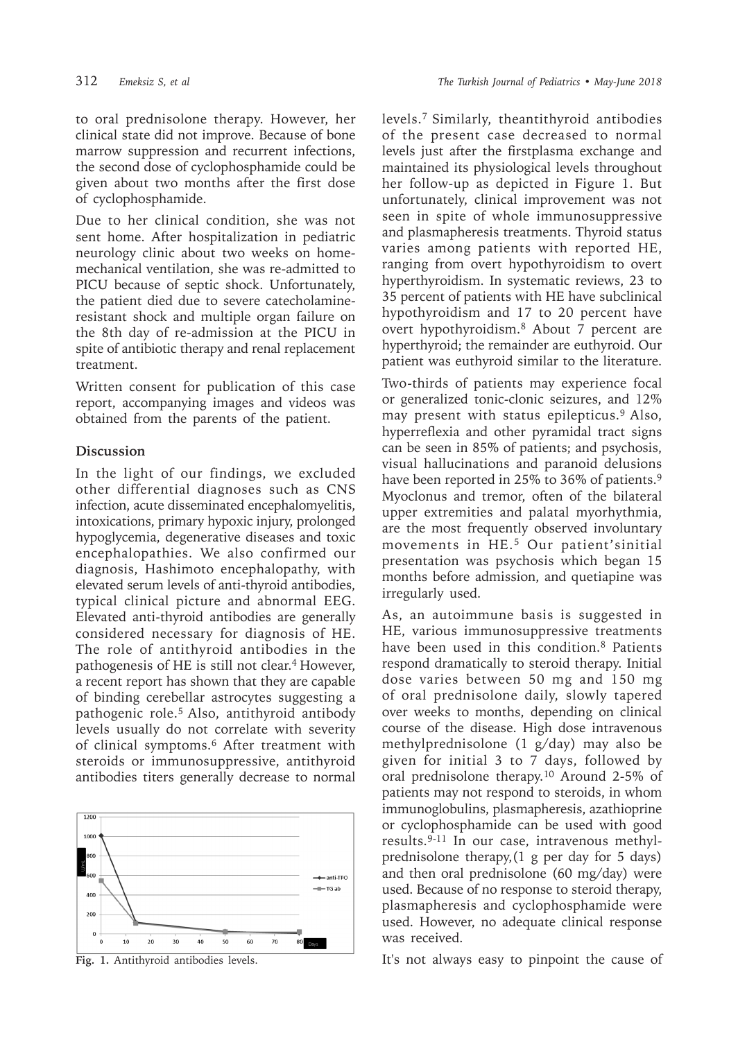to oral prednisolone therapy. However, her clinical state did not improve. Because of bone marrow suppression and recurrent infections, the second dose of cyclophosphamide could be given about two months after the first dose of cyclophosphamide.

Due to her clinical condition, she was not sent home. After hospitalization in pediatric neurology clinic about two weeks on homemechanical ventilation, she was re-admitted to PICU because of septic shock. Unfortunately, the patient died due to severe catecholamineresistant shock and multiple organ failure on the 8th day of re-admission at the PICU in spite of antibiotic therapy and renal replacement treatment.

Written consent for publication of this case report, accompanying images and videos was obtained from the parents of the patient.

## **Discussion**

In the light of our findings, we excluded other differential diagnoses such as CNS infection, acute disseminated encephalomyelitis, intoxications, primary hypoxic injury, prolonged hypoglycemia, degenerative diseases and toxic encephalopathies. We also confirmed our diagnosis, Hashimoto encephalopathy, with elevated serum levels of anti-thyroid antibodies, typical clinical picture and abnormal EEG. Elevated anti-thyroid antibodies are generally considered necessary for diagnosis of HE. The role of antithyroid antibodies in the pathogenesis of HE is still not clear.4 However, a recent report has shown that they are capable of binding cerebellar astrocytes suggesting a pathogenic role.<sup>5</sup> Also, antithyroid antibody levels usually do not correlate with severity of clinical symptoms.<sup>6</sup> After treatment with steroids or immunosuppressive, antithyroid antibodies titers generally decrease to normal



levels.7 Similarly, theantithyroid antibodies of the present case decreased to normal levels just after the firstplasma exchange and maintained its physiological levels throughout her follow-up as depicted in Figure 1. But unfortunately, clinical improvement was not seen in spite of whole immunosuppressive and plasmapheresis treatments. Thyroid status varies among patients with reported HE, ranging from overt hypothyroidism to overt hyperthyroidism. In systematic reviews, 23 to 35 percent of patients with HE have subclinical hypothyroidism and 17 to 20 percent have overt hypothyroidism.8 About 7 percent are hyperthyroid; the remainder are euthyroid. Our patient was euthyroid similar to the literature.

Two-thirds of patients may experience focal or generalized tonic-clonic seizures, and 12% may present with status epilepticus.<sup>9</sup> Also, hyperreflexia and other pyramidal tract signs can be seen in 85% of patients; and psychosis, visual hallucinations and paranoid delusions have been reported in 25% to 36% of patients.<sup>9</sup> Myoclonus and tremor, often of the bilateral upper extremities and palatal myorhythmia, are the most frequently observed involuntary movements in HE.<sup>5</sup> Our patient'sinitial presentation was psychosis which began 15 months before admission, and quetiapine was irregularly used.

As, an autoimmune basis is suggested in HE, various immunosuppressive treatments have been used in this condition.8 Patients respond dramatically to steroid therapy. Initial dose varies between 50 mg and 150 mg of oral prednisolone daily, slowly tapered over weeks to months, depending on clinical course of the disease. High dose intravenous methylprednisolone (1 g/day) may also be given for initial 3 to 7 days, followed by oral prednisolone therapy.<sup>10</sup> Around 2-5% of patients may not respond to steroids, in whom immunoglobulins, plasmapheresis, azathioprine or cyclophosphamide can be used with good results.9-11 In our case, intravenous methylprednisolone therapy,(1 g per day for 5 days) and then oral prednisolone (60 mg/day) were used. Because of no response to steroid therapy, plasmapheresis and cyclophosphamide were used. However, no adequate clinical response was received.

**Fig. 1.** Antithyroid antibodies levels. It's not always easy to pinpoint the cause of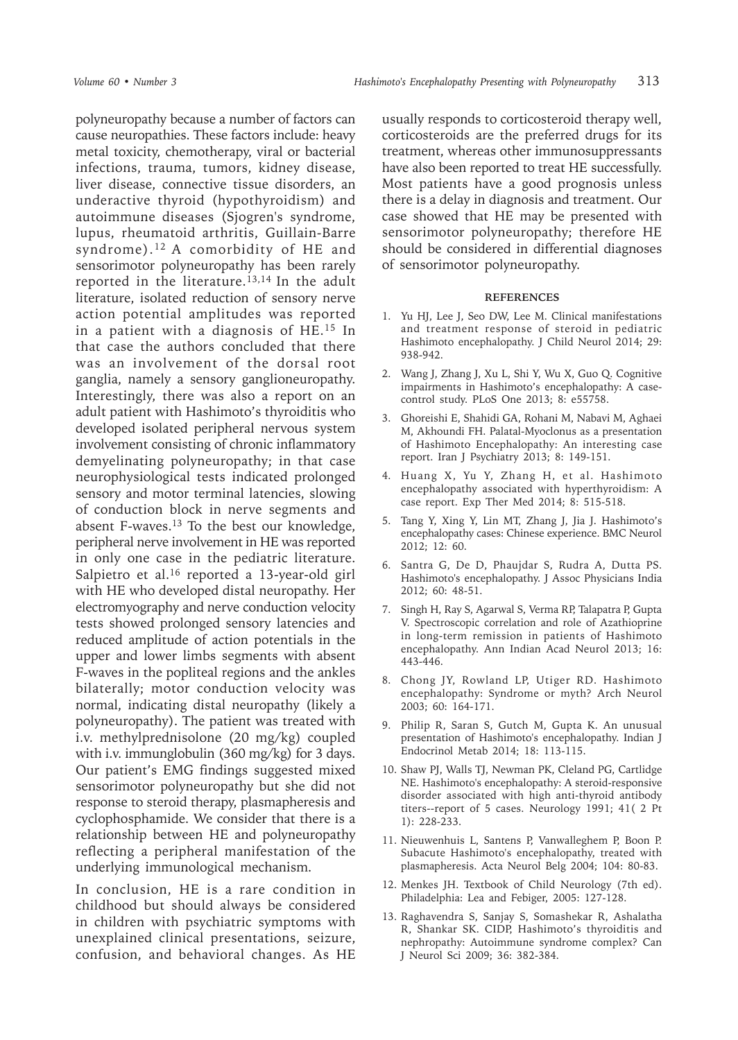polyneuropathy because a number of factors can cause neuropathies. These factors include: heavy metal toxicity, chemotherapy, viral or bacterial infections, trauma, tumors, kidney disease, liver disease, connective tissue disorders, an underactive thyroid (hypothyroidism) and autoimmune diseases (Sjogren's syndrome, lupus, rheumatoid arthritis, Guillain-Barre syndrome).<sup>12</sup>A comorbidity of HE and sensorimotor polyneuropathy has been rarely reported in the literature.<sup>13,14</sup> In the adult literature, isolated reduction of sensory nerve action potential amplitudes was reported in a patient with a diagnosis of HE.15 In that case the authors concluded that there was an involvement of the dorsal root ganglia, namely a sensory ganglioneuropathy. Interestingly, there was also a report on an adult patient with Hashimoto's thyroiditis who developed isolated peripheral nervous system involvement consisting of chronic inflammatory demyelinating polyneuropathy; in that case neurophysiological tests indicated prolonged sensory and motor terminal latencies, slowing of conduction block in nerve segments and absent F-waves.<sup>13</sup> To the best our knowledge, peripheral nerve involvement in HE was reported in only one case in the pediatric literature. Salpietro et al.<sup>16</sup> reported a 13-year-old girl with HE who developed distal neuropathy. Her electromyography and nerve conduction velocity tests showed prolonged sensory latencies and reduced amplitude of action potentials in the upper and lower limbs segments with absent F-waves in the popliteal regions and the ankles bilaterally; motor conduction velocity was normal, indicating distal neuropathy (likely a polyneuropathy). The patient was treated with i.v. methylprednisolone (20 mg/kg) coupled with i.v. immunglobulin (360 mg/kg) for 3 days. Our patient's EMG findings suggested mixed sensorimotor polyneuropathy but she did not response to steroid therapy, plasmapheresis and cyclophosphamide. We consider that there is a relationship between HE and polyneuropathy reflecting a peripheral manifestation of the underlying immunological mechanism.

In conclusion, HE is a rare condition in childhood but should always be considered in children with psychiatric symptoms with unexplained clinical presentations, seizure, confusion, and behavioral changes. As HE

usually responds to corticosteroid therapy well, corticosteroids are the preferred drugs for its treatment, whereas other immunosuppressants have also been reported to treat HE successfully. Most patients have a good prognosis unless there is a delay in diagnosis and treatment. Our case showed that HE may be presented with sensorimotor polyneuropathy; therefore HE should be considered in differential diagnoses of sensorimotor polyneuropathy.

## **REFERENCES**

- 1. Yu HJ, Lee J, Seo DW, Lee M. Clinical manifestations and treatment response of steroid in pediatric Hashimoto encephalopathy. J Child Neurol 2014; 29: 938-942.
- 2. Wang J, Zhang J, Xu L, Shi Y, Wu X, Guo Q. Cognitive impairments in Hashimoto's encephalopathy: A casecontrol study. PLoS One 2013; 8: e55758.
- 3. Ghoreishi E, Shahidi GA, Rohani M, Nabavi M, Aghaei M, Akhoundi FH. Palatal-Myoclonus as a presentation of Hashimoto Encephalopathy: An interesting case report. Iran J Psychiatry 2013; 8: 149-151.
- 4. Huang X, Yu Y, Zhang H, et al. Hashimoto encephalopathy associated with hyperthyroidism: A case report. Exp Ther Med 2014; 8: 515-518.
- 5. Tang Y, Xing Y, Lin MT, Zhang J, Jia J. Hashimoto's encephalopathy cases: Chinese experience. BMC Neurol 2012; 12: 60.
- 6. Santra G, De D, Phaujdar S, Rudra A, Dutta PS. Hashimoto's encephalopathy. J Assoc Physicians India 2012; 60: 48-51.
- 7. Singh H, Ray S, Agarwal S, Verma RP, Talapatra P, Gupta V. Spectroscopic correlation and role of Azathioprine in long-term remission in patients of Hashimoto encephalopathy. Ann Indian Acad Neurol 2013; 16: 443-446.
- 8. Chong JY, Rowland LP, Utiger RD. Hashimoto encephalopathy: Syndrome or myth? Arch Neurol 2003; 60: 164-171.
- 9. Philip R, Saran S, Gutch M, Gupta K. An unusual presentation of Hashimoto's encephalopathy. Indian J Endocrinol Metab 2014; 18: 113-115.
- 10. Shaw PJ, Walls TJ, Newman PK, Cleland PG, Cartlidge NE. Hashimoto's encephalopathy: A steroid-responsive disorder associated with high anti-thyroid antibody titers--report of 5 cases. Neurology 1991; 41( 2 Pt 1): 228-233.
- 11. Nieuwenhuis L, Santens P, Vanwalleghem P, Boon P. Subacute Hashimoto's encephalopathy, treated with plasmapheresis. Acta Neurol Belg 2004; 104: 80-83.
- 12. Menkes JH. Textbook of Child Neurology (7th ed). Philadelphia: Lea and Febiger, 2005: 127-128.
- 13. Raghavendra S, Sanjay S, Somashekar R, Ashalatha R, Shankar SK. CIDP, Hashimoto's thyroiditis and nephropathy: Autoimmune syndrome complex? Can J Neurol Sci 2009; 36: 382-384.